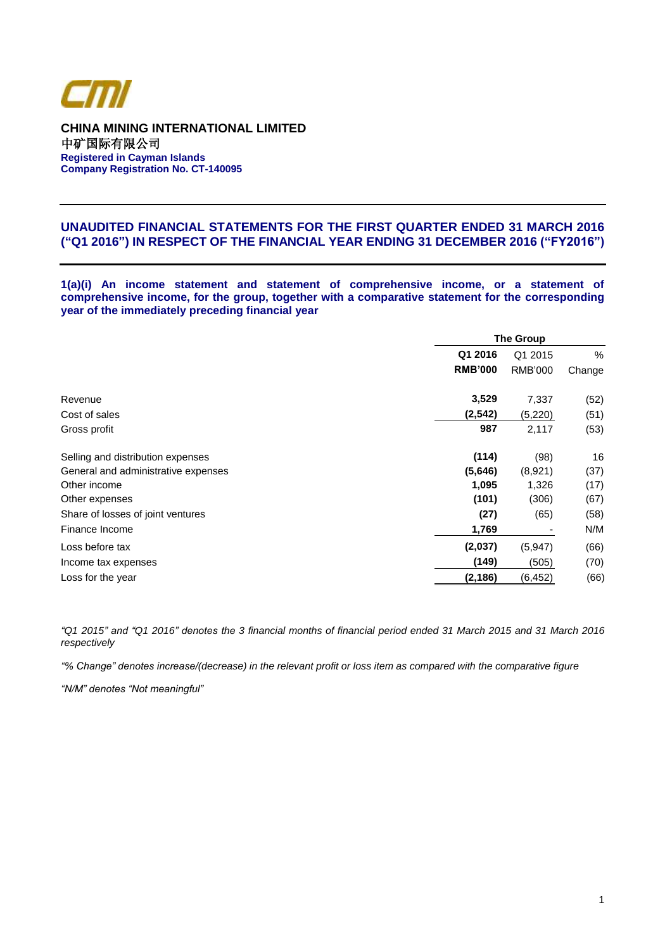

**CHINA MINING INTERNATIONAL LIMITED** 中矿国际有限公司 **Registered in Cayman Islands Company Registration No. CT-140095**

## **UNAUDITED FINANCIAL STATEMENTS FOR THE FIRST QUARTER ENDED 31 MARCH 2016 ("Q1 2016") IN RESPECT OF THE FINANCIAL YEAR ENDING 31 DECEMBER 2016 ("FY2016")**

**1(a)(i) An income statement and statement of comprehensive income, or a statement of comprehensive income, for the group, together with a comparative statement for the corresponding year of the immediately preceding financial year**

|                                     | <b>The Group</b> |          |        |  |
|-------------------------------------|------------------|----------|--------|--|
|                                     | Q1 2016          | Q1 2015  | $\%$   |  |
|                                     | <b>RMB'000</b>   | RMB'000  | Change |  |
| Revenue                             | 3,529            | 7,337    | (52)   |  |
| Cost of sales                       | (2, 542)         | (5,220)  | (51)   |  |
| Gross profit                        | 987              | 2,117    | (53)   |  |
| Selling and distribution expenses   | (114)            | (98)     | 16     |  |
| General and administrative expenses | (5,646)          | (8,921)  | (37)   |  |
| Other income                        | 1,095            | 1,326    | (17)   |  |
| Other expenses                      | (101)            | (306)    | (67)   |  |
| Share of losses of joint ventures   | (27)             | (65)     | (58)   |  |
| Finance Income                      | 1,769            |          | N/M    |  |
| Loss before tax                     | (2,037)          | (5,947)  | (66)   |  |
| Income tax expenses                 | (149)            | (505)    | (70)   |  |
| Loss for the year                   | (2,186)          | (6, 452) | (66)   |  |

*"Q1 2015" and "Q1 2016" denotes the 3 financial months of financial period ended 31 March 2015 and 31 March 2016 respectively*

*"% Change" denotes increase/(decrease) in the relevant profit or loss item as compared with the comparative figure*

*"N/M" denotes "Not meaningful"*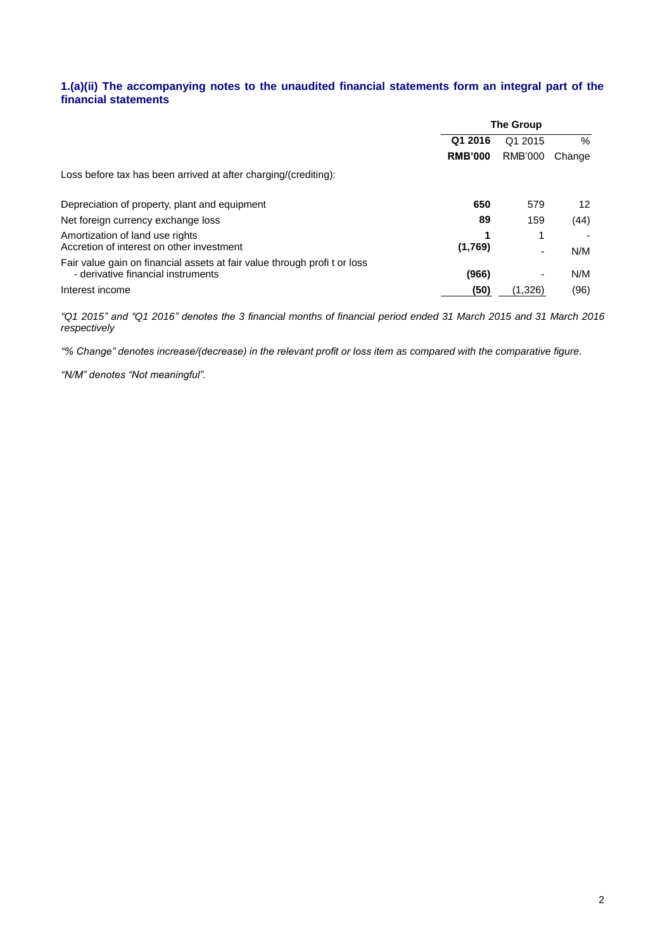## **1.(a)(ii) The accompanying notes to the unaudited financial statements form an integral part of the financial statements**

|                                                                                                                | <b>The Group</b>   |                |               |
|----------------------------------------------------------------------------------------------------------------|--------------------|----------------|---------------|
|                                                                                                                | Q1 2016<br>Q1 2015 |                | $\frac{0}{6}$ |
|                                                                                                                | <b>RMB'000</b>     | <b>RMB'000</b> | Change        |
| Loss before tax has been arrived at after charging/(crediting):                                                |                    |                |               |
| Depreciation of property, plant and equipment                                                                  | 650                | 579            | 12            |
| Net foreign currency exchange loss                                                                             | 89                 | 159            | (44)          |
| Amortization of land use rights<br>Accretion of interest on other investment                                   | (1,769)            |                | N/M           |
| Fair value gain on financial assets at fair value through profit or loss<br>- derivative financial instruments | (966)              |                | N/M           |
| Interest income                                                                                                | (50)               | (1.326)        | (96)          |

*"Q1 2015" and "Q1 2016" denotes the 3 financial months of financial period ended 31 March 2015 and 31 March 2016 respectively*

*"% Change" denotes increase/(decrease) in the relevant profit or loss item as compared with the comparative figure.*

*"N/M" denotes "Not meaningful".*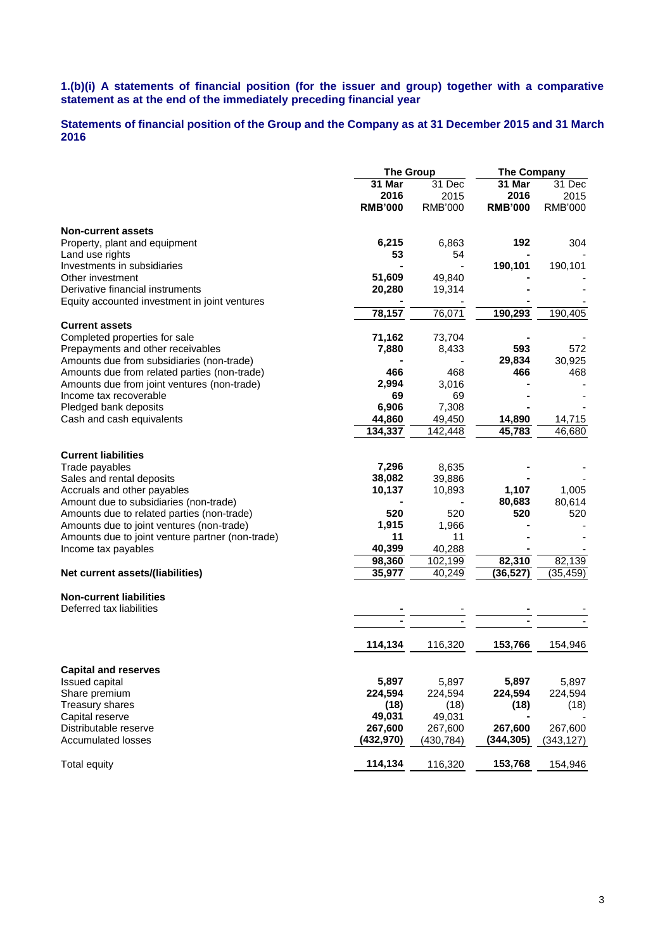### **1.(b)(i) A statements of financial position (for the issuer and group) together with a comparative statement as at the end of the immediately preceding financial year**

## **Statements of financial position of the Group and the Company as at 31 December 2015 and 31 March 2016**

|                                                  |                | <b>The Group</b>  |                | <b>The Company</b> |
|--------------------------------------------------|----------------|-------------------|----------------|--------------------|
|                                                  | 31 Mar         | 31 Dec            | 31 Mar         | 31 Dec             |
|                                                  | 2016           | 2015              | 2016           | 2015               |
|                                                  | <b>RMB'000</b> | <b>RMB'000</b>    | <b>RMB'000</b> | <b>RMB'000</b>     |
| Non-current assets                               |                |                   |                |                    |
| Property, plant and equipment                    | 6,215          | 6,863             | 192            | 304                |
| Land use rights                                  | 53             | 54                |                |                    |
| Investments in subsidiaries                      |                |                   | 190,101        | 190,101            |
| Other investment                                 | 51,609         | 49,840            |                |                    |
| Derivative financial instruments                 | 20,280         | 19,314            |                |                    |
| Equity accounted investment in joint ventures    |                |                   |                |                    |
|                                                  | 78,157         | 76,071            | 190,293        | 190,405            |
| <b>Current assets</b>                            |                |                   |                |                    |
| Completed properties for sale                    | 71,162         | 73,704            |                |                    |
| Prepayments and other receivables                | 7,880          | 8,433             | 593            | 572                |
| Amounts due from subsidiaries (non-trade)        |                |                   | 29,834         | 30,925             |
| Amounts due from related parties (non-trade)     | 466            | 468               | 466            | 468                |
| Amounts due from joint ventures (non-trade)      | 2,994          | 3,016             |                |                    |
| Income tax recoverable                           | 69             | 69                |                |                    |
| Pledged bank deposits                            | 6,906          | 7,308             |                |                    |
| Cash and cash equivalents                        | 44,860         | 49,450            | 14,890         | 14,715             |
|                                                  | 134,337        | 142,448           | 45,783         | 46,680             |
| <b>Current liabilities</b>                       |                |                   |                |                    |
| Trade payables                                   | 7,296          | 8,635             |                |                    |
| Sales and rental deposits                        | 38,082         | 39,886            |                |                    |
| Accruals and other payables                      | 10,137         | 10,893            | 1,107          | 1,005              |
| Amount due to subsidiaries (non-trade)           |                |                   | 80,683         | 80,614             |
| Amounts due to related parties (non-trade)       | 520            | 520               | 520            | 520                |
| Amounts due to joint ventures (non-trade)        | 1,915          | 1,966             |                |                    |
| Amounts due to joint venture partner (non-trade) | 11             | 11                |                |                    |
| Income tax payables                              | 40,399         | 40,288            |                |                    |
|                                                  | 98,360         |                   | 82,310         | 82,139             |
| Net current assets/(liabilities)                 | 35,977         | 102,199<br>40,249 | (36, 527)      | (35, 459)          |
|                                                  |                |                   |                |                    |
| <b>Non-current liabilities</b>                   |                |                   |                |                    |
| Deferred tax liabilities                         |                |                   |                |                    |
|                                                  |                |                   |                |                    |
|                                                  | 114,134        | 116,320           | 153,766        | 154,946            |
| <b>Capital and reserves</b>                      |                |                   |                |                    |
| Issued capital                                   | 5,897          | 5,897             | 5,897          | 5,897              |
| Share premium                                    | 224,594        | 224,594           | 224,594        | 224,594            |
| Treasury shares                                  | (18)           | (18)              | (18)           | (18)               |
| Capital reserve                                  | 49,031         | 49,031            |                |                    |
| Distributable reserve                            | 267,600        | 267,600           | 267,600        | 267,600            |
| <b>Accumulated losses</b>                        | (432,970)      | (430,784)         | (344,305)      | (343,127)          |
| <b>Total equity</b>                              | 114,134        | 116,320           | 153,768        | 154,946            |
|                                                  |                |                   |                |                    |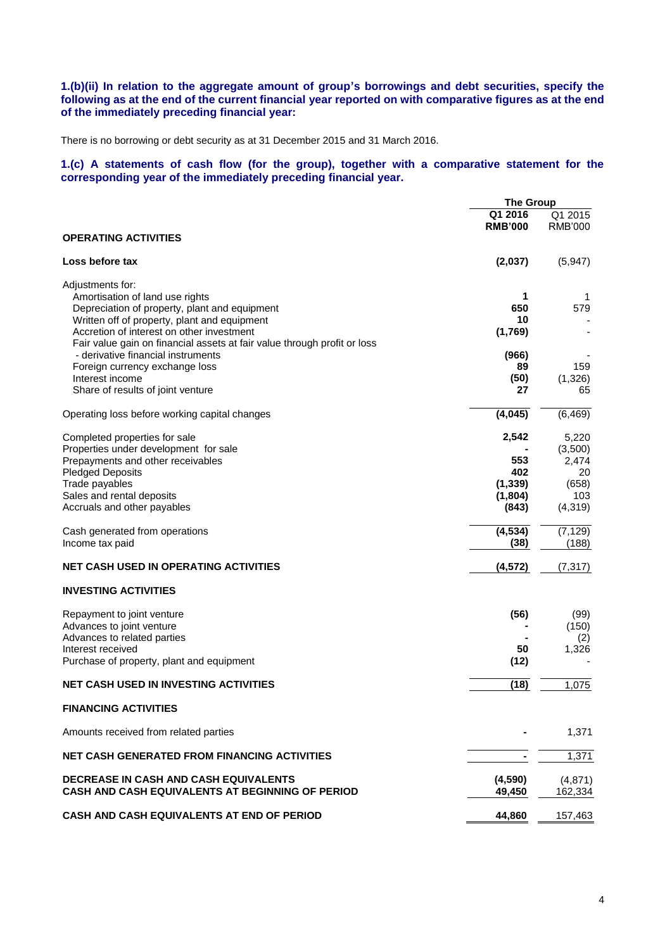## **1.(b)(ii) In relation to the aggregate amount of group's borrowings and debt securities, specify the following as at the end of the current financial year reported on with comparative figures as at the end of the immediately preceding financial year:**

There is no borrowing or debt security as at 31 December 2015 and 31 March 2016.

## **1.(c) A statements of cash flow (for the group), together with a comparative statement for the corresponding year of the immediately preceding financial year.**

|                                                                                                                | <b>The Group</b> |                |
|----------------------------------------------------------------------------------------------------------------|------------------|----------------|
|                                                                                                                | Q1 2016          | Q1 2015        |
|                                                                                                                | <b>RMB'000</b>   | <b>RMB'000</b> |
| <b>OPERATING ACTIVITIES</b>                                                                                    |                  |                |
| Loss before tax                                                                                                | (2,037)          | (5,947)        |
| Adjustments for:                                                                                               |                  |                |
| Amortisation of land use rights                                                                                | 1                | 1              |
| Depreciation of property, plant and equipment                                                                  | 650              | 579            |
| Written off of property, plant and equipment                                                                   | 10               |                |
| Accretion of interest on other investment                                                                      | (1,769)          |                |
| Fair value gain on financial assets at fair value through profit or loss<br>- derivative financial instruments |                  |                |
| Foreign currency exchange loss                                                                                 | (966)<br>89      | 159            |
| Interest income                                                                                                | (50)             | (1,326)        |
| Share of results of joint venture                                                                              | 27               | 65             |
| Operating loss before working capital changes                                                                  | (4,045)          | (6, 469)       |
| Completed properties for sale                                                                                  | 2,542            | 5,220          |
| Properties under development for sale                                                                          |                  | (3,500)        |
| Prepayments and other receivables                                                                              | 553              | 2,474          |
| <b>Pledged Deposits</b>                                                                                        | 402              | 20             |
| Trade payables                                                                                                 | (1, 339)         | (658)          |
| Sales and rental deposits                                                                                      | (1,804)          | 103            |
| Accruals and other payables                                                                                    | (843)            | (4, 319)       |
| Cash generated from operations                                                                                 | (4, 534)         | (7, 129)       |
| Income tax paid                                                                                                | (38)             | (188)          |
| <b>NET CASH USED IN OPERATING ACTIVITIES</b>                                                                   | (4, 572)         | (7, 317)       |
| <b>INVESTING ACTIVITIES</b>                                                                                    |                  |                |
| Repayment to joint venture                                                                                     | (56)             | (99)           |
| Advances to joint venture                                                                                      |                  | (150)          |
| Advances to related parties                                                                                    |                  | (2)            |
| Interest received                                                                                              | 50               | 1,326          |
| Purchase of property, plant and equipment                                                                      | (12)             |                |
| <b>NET CASH USED IN INVESTING ACTIVITIES</b>                                                                   | (18)             | 1,075          |
| <b>FINANCING ACTIVITIES</b>                                                                                    |                  |                |
| Amounts received from related parties                                                                          |                  | 1,371          |
| <b>NET CASH GENERATED FROM FINANCING ACTIVITIES</b>                                                            |                  | 1,371          |
|                                                                                                                |                  |                |
| <b>DECREASE IN CASH AND CASH EQUIVALENTS</b>                                                                   | (4,590)          | (4, 871)       |
| CASH AND CASH EQUIVALENTS AT BEGINNING OF PERIOD                                                               | 49,450           | 162,334        |
| CASH AND CASH EQUIVALENTS AT END OF PERIOD                                                                     | 44,860           | 157,463        |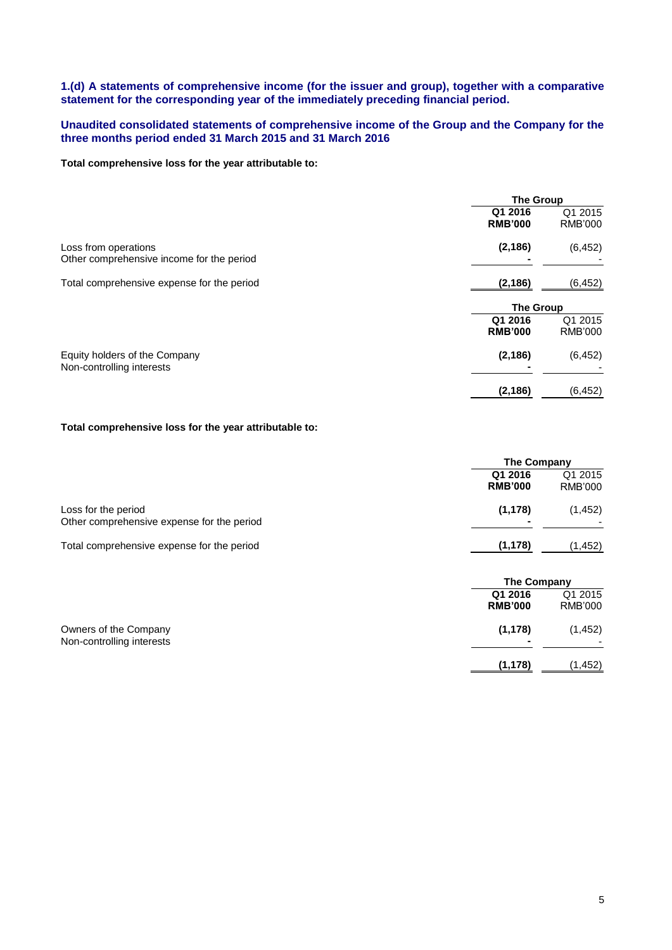## **1.(d) A statements of comprehensive income (for the issuer and group), together with a comparative statement for the corresponding year of the immediately preceding financial period.**

## **Unaudited consolidated statements of comprehensive income of the Group and the Company for the three months period ended 31 March 2015 and 31 March 2016**

### **Total comprehensive loss for the year attributable to:**

|                                                                   | <b>The Group</b>          |                           |
|-------------------------------------------------------------------|---------------------------|---------------------------|
|                                                                   | Q1 2016<br><b>RMB'000</b> | Q1 2015<br><b>RMB'000</b> |
| Loss from operations<br>Other comprehensive income for the period | (2, 186)                  | (6, 452)                  |
| Total comprehensive expense for the period                        | (2, 186)                  | (6, 452)                  |
|                                                                   | <b>The Group</b>          |                           |
|                                                                   | Q1 2016<br><b>RMB'000</b> | Q1 2015<br><b>RMB'000</b> |
| Equity holders of the Company<br>Non-controlling interests        | (2, 186)                  | (6, 452)                  |
|                                                                   | (2, 186)                  | (6, 452)                  |

## **Total comprehensive loss for the year attributable to:**

|                                                                   | The Company               |                           |
|-------------------------------------------------------------------|---------------------------|---------------------------|
|                                                                   | Q1 2016<br><b>RMB'000</b> | Q1 2015<br>RMB'000        |
| Loss for the period<br>Other comprehensive expense for the period | (1, 178)                  | (1, 452)                  |
| Total comprehensive expense for the period                        | (1, 178)                  | (1,452)                   |
|                                                                   | <b>The Company</b>        |                           |
|                                                                   | Q1 2016<br><b>RMB'000</b> | Q1 2015<br><b>RMB'000</b> |

| Owners of the Company     | (1, 178)       | (1, 452) |
|---------------------------|----------------|----------|
| Non-controlling interests | $\blacksquare$ | -        |
|                           | (1, 178)       | (1,452)  |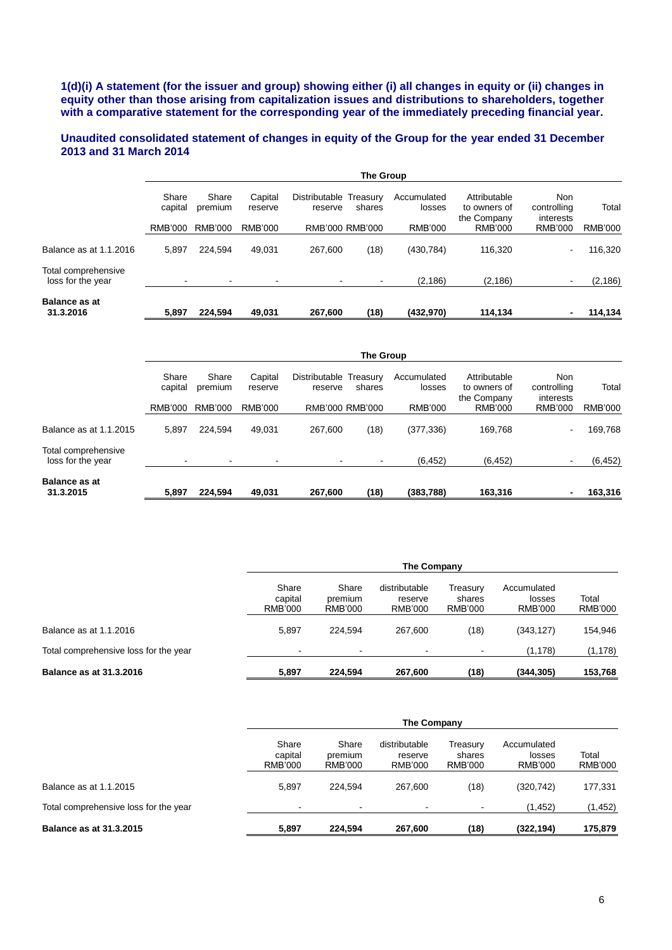**1(d)(i) A statement (for the issuer and group) showing either (i) all changes in equity or (ii) changes in equity other than those arising from capitalization issues and distributions to shareholders, together with a comparative statement for the corresponding year of the immediately preceding financial year.**

## **Unaudited consolidated statement of changes in equity of the Group for the year ended 31 December 2013 and 31 March 2014**

|                                          | The Group        |                  |                    |                                   |        |                       |                                             |                                 |                |
|------------------------------------------|------------------|------------------|--------------------|-----------------------------------|--------|-----------------------|---------------------------------------------|---------------------------------|----------------|
|                                          | Share<br>capital | Share<br>premium | Capital<br>reserve | Distributable Treasury<br>reserve | shares | Accumulated<br>losses | Attributable<br>to owners of<br>the Company | Non<br>controlling<br>interests | Total          |
|                                          | RMB'000          | RMB'000          | RMB'000            | RMB'000 RMB'000                   |        | <b>RMB'000</b>        | RMB'000                                     | <b>RMB'000</b>                  | <b>RMB'000</b> |
| Balance as at 1.1.2016                   | 5,897            | 224.594          | 49.031             | 267.600                           | (18)   | (430, 784)            | 116,320                                     | ۰                               | 116,320        |
| Total comprehensive<br>loss for the year |                  | $\blacksquare$   | ٠                  |                                   |        | (2, 186)              | (2, 186)                                    | $\blacksquare$                  | (2, 186)       |
| <b>Balance as at</b><br>31.3.2016        | 5,897            | 224.594          | 49,031             | 267,600                           | (18)   | (432,970)             | 114,134                                     |                                 | 114,134        |

|                                          | <b>The Group</b> |                  |                    |                                   |        |                       |                                             |                                        |                |
|------------------------------------------|------------------|------------------|--------------------|-----------------------------------|--------|-----------------------|---------------------------------------------|----------------------------------------|----------------|
|                                          | Share<br>capital | Share<br>premium | Capital<br>reserve | Distributable Treasury<br>reserve | shares | Accumulated<br>losses | Attributable<br>to owners of<br>the Company | <b>Non</b><br>controlling<br>interests | Total          |
|                                          | RMB'000          | RMB'000          | <b>RMB'000</b>     | RMB'000 RMB'000                   |        | <b>RMB'000</b>        | <b>RMB'000</b>                              | <b>RMB'000</b>                         | <b>RMB'000</b> |
| Balance as at 1.1.2015                   | 5.897            | 224.594          | 49,031             | 267.600                           | (18)   | (377, 336)            | 169.768                                     | $\sim$                                 | 169,768        |
| Total comprehensive<br>loss for the year |                  | ۰                | ٠                  |                                   |        | (6, 452)              | (6, 452)                                    | $\sim$                                 | (6, 452)       |
| <b>Balance as at</b><br>31.3.2015        | 5,897            | 224,594          | 49,031             | 267,600                           | (18)   | (383,788)             | 163,316                                     | $\blacksquare$                         | 163,316        |

|                                       | The Company                 |                             |                                            |                               |                                  |                  |  |
|---------------------------------------|-----------------------------|-----------------------------|--------------------------------------------|-------------------------------|----------------------------------|------------------|--|
|                                       | Share<br>capital<br>RMB'000 | Share<br>premium<br>RMB'000 | distributable<br>reserve<br><b>RMB'000</b> | Treasury<br>shares<br>RMB'000 | Accumulated<br>losses<br>RMB'000 | Total<br>RMB'000 |  |
| Balance as at 1.1.2016                | 5.897                       | 224.594                     | 267.600                                    | (18)                          | (343, 127)                       | 154,946          |  |
| Total comprehensive loss for the year | $\blacksquare$              | $\overline{\phantom{0}}$    | $\overline{\phantom{a}}$                   |                               | (1, 178)                         | (1, 178)         |  |
| <b>Balance as at 31.3.2016</b>        | 5.897                       | 224.594                     | 267.600                                    | (18)                          | (344, 305)                       | 153.768          |  |

|                                       | The Company                        |                             |                                            |                               |                                  |                  |
|---------------------------------------|------------------------------------|-----------------------------|--------------------------------------------|-------------------------------|----------------------------------|------------------|
|                                       | Share<br>capital<br><b>RMB'000</b> | Share<br>premium<br>RMB'000 | distributable<br>reserve<br><b>RMB'000</b> | Treasury<br>shares<br>RMB'000 | Accumulated<br>losses<br>RMB'000 | Total<br>RMB'000 |
| Balance as at 1.1.2015                | 5.897                              | 224.594                     | 267.600                                    | (18)                          | (320, 742)                       | 177,331          |
| Total comprehensive loss for the year | $\blacksquare$                     | $\blacksquare$              |                                            |                               | (1, 452)                         | (1,452)          |
| <b>Balance as at 31.3.2015</b>        | 5,897                              | 224.594                     | 267,600                                    | (18)                          | (322, 194)                       | 175,879          |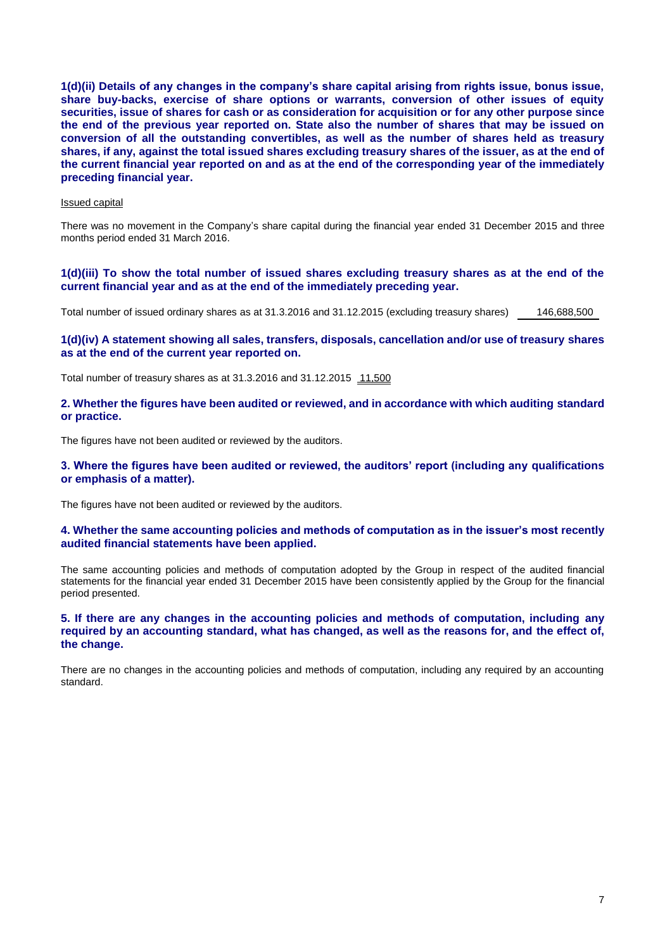**1(d)(ii) Details of any changes in the company's share capital arising from rights issue, bonus issue, share buy-backs, exercise of share options or warrants, conversion of other issues of equity securities, issue of shares for cash or as consideration for acquisition or for any other purpose since the end of the previous year reported on. State also the number of shares that may be issued on conversion of all the outstanding convertibles, as well as the number of shares held as treasury shares, if any, against the total issued shares excluding treasury shares of the issuer, as at the end of the current financial year reported on and as at the end of the corresponding year of the immediately preceding financial year.**

## Issued capital

There was no movement in the Company's share capital during the financial year ended 31 December 2015 and three months period ended 31 March 2016.

**1(d)(iii) To show the total number of issued shares excluding treasury shares as at the end of the current financial year and as at the end of the immediately preceding year.**

Total number of issued ordinary shares as at 31.3.2016 and 31.12.2015 (excluding treasury shares) 146,688,500

## **1(d)(iv) A statement showing all sales, transfers, disposals, cancellation and/or use of treasury shares as at the end of the current year reported on.**

Total number of treasury shares as at 31.3.2016 and 31.12.2015 11,500

**2. Whether the figures have been audited or reviewed, and in accordance with which auditing standard or practice.**

The figures have not been audited or reviewed by the auditors.

**3. Where the figures have been audited or reviewed, the auditors' report (including any qualifications or emphasis of a matter).**

The figures have not been audited or reviewed by the auditors.

## **4. Whether the same accounting policies and methods of computation as in the issuer's most recently audited financial statements have been applied.**

The same accounting policies and methods of computation adopted by the Group in respect of the audited financial statements for the financial year ended 31 December 2015 have been consistently applied by the Group for the financial period presented.

## **5. If there are any changes in the accounting policies and methods of computation, including any required by an accounting standard, what has changed, as well as the reasons for, and the effect of, the change.**

There are no changes in the accounting policies and methods of computation, including any required by an accounting standard.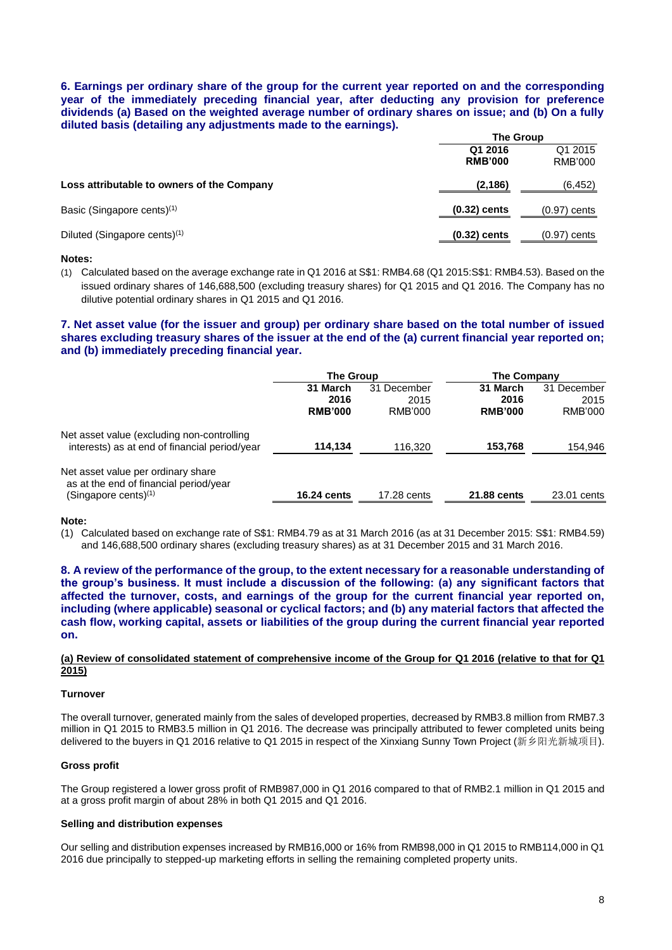**6. Earnings per ordinary share of the group for the current year reported on and the corresponding year of the immediately preceding financial year, after deducting any provision for preference dividends (a) Based on the weighted average number of ordinary shares on issue; and (b) On a fully diluted basis (detailing any adjustments made to the earnings).** 

|                                            |                           | <b>The Group</b>          |  |  |
|--------------------------------------------|---------------------------|---------------------------|--|--|
|                                            | Q1 2016<br><b>RMB'000</b> | Q1 2015<br><b>RMB'000</b> |  |  |
| Loss attributable to owners of the Company | (2, 186)                  | (6, 452)                  |  |  |
| Basic (Singapore cents) <sup>(1)</sup>     | $(0.32)$ cents            | $(0.97)$ cents            |  |  |
| Diluted (Singapore cents) <sup>(1)</sup>   | $(0.32)$ cents            | $(0.97)$ cents            |  |  |

#### **Notes:**

(1) Calculated based on the average exchange rate in Q1 2016 at S\$1: RMB4.68 (Q1 2015:S\$1: RMB4.53). Based on the issued ordinary shares of 146,688,500 (excluding treasury shares) for Q1 2015 and Q1 2016. The Company has no dilutive potential ordinary shares in Q1 2015 and Q1 2016.

## **7. Net asset value (for the issuer and group) per ordinary share based on the total number of issued shares excluding treasury shares of the issuer at the end of the (a) current financial year reported on; and (b) immediately preceding financial year.**

|                                                                                                         | <b>The Group</b>   |             | <b>The Company</b> |             |
|---------------------------------------------------------------------------------------------------------|--------------------|-------------|--------------------|-------------|
|                                                                                                         | 31 March           | 31 December | 31 March           | 31 December |
|                                                                                                         | 2016               | 2015        | 2016               | 2015        |
|                                                                                                         | <b>RMB'000</b>     | RMB'000     | <b>RMB'000</b>     | RMB'000     |
| Net asset value (excluding non-controlling<br>interests) as at end of financial period/year             | 114,134            | 116,320     | 153,768            | 154,946     |
| Net asset value per ordinary share<br>as at the end of financial period/year<br>(Singapore cents) $(1)$ | <b>16.24 cents</b> | 17.28 cents | 21.88 cents        | 23.01 cents |
|                                                                                                         |                    |             |                    |             |

#### **Note:**

(1) Calculated based on exchange rate of S\$1: RMB4.79 as at 31 March 2016 (as at 31 December 2015: S\$1: RMB4.59) and 146,688,500 ordinary shares (excluding treasury shares) as at 31 December 2015 and 31 March 2016.

**8. A review of the performance of the group, to the extent necessary for a reasonable understanding of the group's business. It must include a discussion of the following: (a) any significant factors that affected the turnover, costs, and earnings of the group for the current financial year reported on, including (where applicable) seasonal or cyclical factors; and (b) any material factors that affected the cash flow, working capital, assets or liabilities of the group during the current financial year reported on.**

#### **(a) Review of consolidated statement of comprehensive income of the Group for Q1 2016 (relative to that for Q1 2015)**

#### **Turnover**

The overall turnover, generated mainly from the sales of developed properties, decreased by RMB3.8 million from RMB7.3 million in Q1 2015 to RMB3.5 million in Q1 2016. The decrease was principally attributed to fewer completed units being delivered to the buyers in Q1 2016 relative to Q1 2015 in respect of the Xinxiang Sunny Town Project (新乡阳光新城项目).

#### **Gross profit**

The Group registered a lower gross profit of RMB987,000 in Q1 2016 compared to that of RMB2.1 million in Q1 2015 and at a gross profit margin of about 28% in both Q1 2015 and Q1 2016.

### **Selling and distribution expenses**

Our selling and distribution expenses increased by RMB16,000 or 16% from RMB98,000 in Q1 2015 to RMB114,000 in Q1 2016 due principally to stepped-up marketing efforts in selling the remaining completed property units.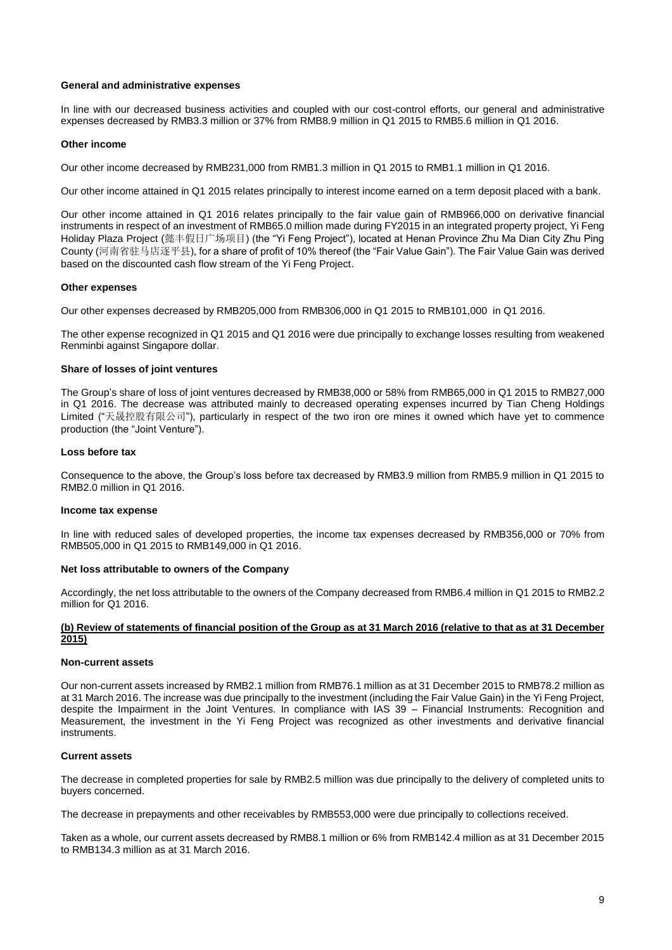#### **General and administrative expenses**

In line with our decreased business activities and coupled with our cost-control efforts, our general and administrative expenses decreased by RMB3.3 million or 37% from RMB8.9 million in Q1 2015 to RMB5.6 million in Q1 2016.

#### **Other income**

Our other income decreased by RMB231,000 from RMB1.3 million in Q1 2015 to RMB1.1 million in Q1 2016.

Our other income attained in Q1 2015 relates principally to interest income earned on a term deposit placed with a bank.

Our other income attained in Q1 2016 relates principally to the fair value gain of RMB966,000 on derivative financial instruments in respect of an investment of RMB65.0 million made during FY2015 in an integrated property project, Yi Feng Holiday Plaza Project (懿丰假日广场项目) (the "Yi Feng Project"), located at Henan Province Zhu Ma Dian City Zhu Ping County (河南省驻马店逐平县), for a share of profit of 10% thereof (the "Fair Value Gain"). The Fair Value Gain was derived based on the discounted cash flow stream of the Yi Feng Project.

#### **Other expenses**

Our other expenses decreased by RMB205,000 from RMB306,000 in Q1 2015 to RMB101,000 in Q1 2016.

The other expense recognized in Q1 2015 and Q1 2016 were due principally to exchange losses resulting from weakened Renminbi against Singapore dollar.

### **Share of losses of joint ventures**

The Group's share of loss of joint ventures decreased by RMB38,000 or 58% from RMB65,000 in Q1 2015 to RMB27,000 in Q1 2016. The decrease was attributed mainly to decreased operating expenses incurred by Tian Cheng Holdings Limited ("天晟控股有限公司"), particularly in respect of the two iron ore mines it owned which have yet to commence production (the "Joint Venture").

#### **Loss before tax**

Consequence to the above, the Group's loss before tax decreased by RMB3.9 million from RMB5.9 million in Q1 2015 to RMB2.0 million in Q1 2016.

#### **Income tax expense**

In line with reduced sales of developed properties, the income tax expenses decreased by RMB356,000 or 70% from RMB505,000 in Q1 2015 to RMB149,000 in Q1 2016.

#### **Net loss attributable to owners of the Company**

Accordingly, the net loss attributable to the owners of the Company decreased from RMB6.4 million in Q1 2015 to RMB2.2 million for Q1 2016.

## **(b) Review of statements of financial position of the Group as at 31 March 2016 (relative to that as at 31 December 2015)**

#### **Non-current assets**

Our non-current assets increased by RMB2.1 million from RMB76.1 million as at 31 December 2015 to RMB78.2 million as at 31 March 2016. The increase was due principally to the investment (including the Fair Value Gain) in the Yi Feng Project, despite the Impairment in the Joint Ventures. In compliance with IAS 39 – Financial Instruments: Recognition and Measurement, the investment in the Yi Feng Project was recognized as other investments and derivative financial instruments.

#### **Current assets**

The decrease in completed properties for sale by RMB2.5 million was due principally to the delivery of completed units to buyers concerned.

The decrease in prepayments and other receivables by RMB553,000 were due principally to collections received.

Taken as a whole, our current assets decreased by RMB8.1 million or 6% from RMB142.4 million as at 31 December 2015 to RMB134.3 million as at 31 March 2016.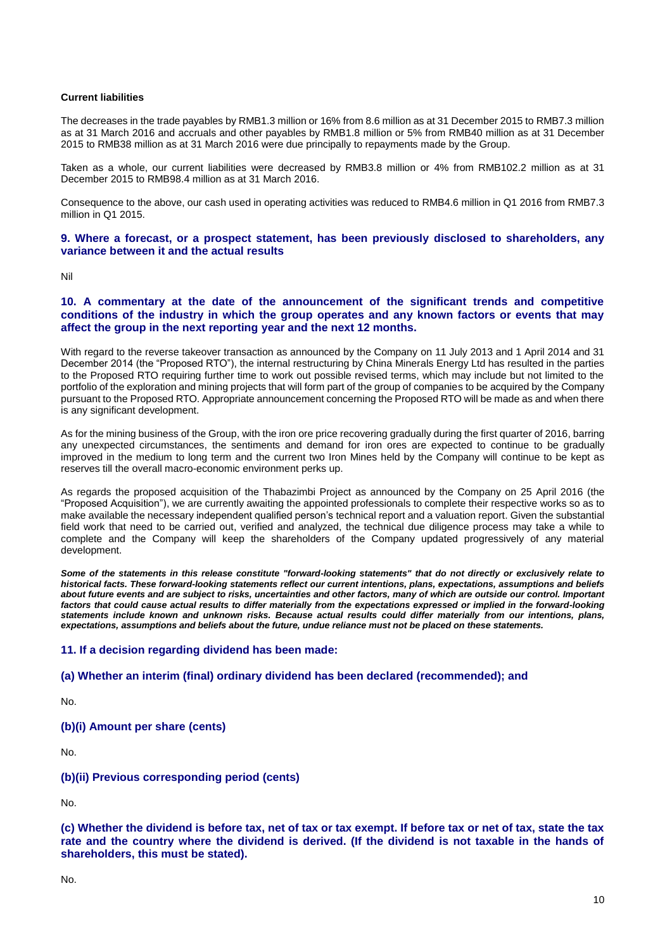### **Current liabilities**

The decreases in the trade payables by RMB1.3 million or 16% from 8.6 million as at 31 December 2015 to RMB7.3 million as at 31 March 2016 and accruals and other payables by RMB1.8 million or 5% from RMB40 million as at 31 December 2015 to RMB38 million as at 31 March 2016 were due principally to repayments made by the Group.

Taken as a whole, our current liabilities were decreased by RMB3.8 million or 4% from RMB102.2 million as at 31 December 2015 to RMB98.4 million as at 31 March 2016.

Consequence to the above, our cash used in operating activities was reduced to RMB4.6 million in Q1 2016 from RMB7.3 million in Q1 2015.

## **9. Where a forecast, or a prospect statement, has been previously disclosed to shareholders, any variance between it and the actual results**

Nil

## **10. A commentary at the date of the announcement of the significant trends and competitive conditions of the industry in which the group operates and any known factors or events that may affect the group in the next reporting year and the next 12 months.**

With regard to the reverse takeover transaction as announced by the Company on 11 July 2013 and 1 April 2014 and 31 December 2014 (the "Proposed RTO"), the internal restructuring by China Minerals Energy Ltd has resulted in the parties to the Proposed RTO requiring further time to work out possible revised terms, which may include but not limited to the portfolio of the exploration and mining projects that will form part of the group of companies to be acquired by the Company pursuant to the Proposed RTO. Appropriate announcement concerning the Proposed RTO will be made as and when there is any significant development.

As for the mining business of the Group, with the iron ore price recovering gradually during the first quarter of 2016, barring any unexpected circumstances, the sentiments and demand for iron ores are expected to continue to be gradually improved in the medium to long term and the current two Iron Mines held by the Company will continue to be kept as reserves till the overall macro-economic environment perks up.

As regards the proposed acquisition of the Thabazimbi Project as announced by the Company on 25 April 2016 (the "Proposed Acquisition"), we are currently awaiting the appointed professionals to complete their respective works so as to make available the necessary independent qualified person's technical report and a valuation report. Given the substantial field work that need to be carried out, verified and analyzed, the technical due diligence process may take a while to complete and the Company will keep the shareholders of the Company updated progressively of any material development.

*Some of the statements in this release constitute "forward-looking statements" that do not directly or exclusively relate to historical facts. These forward-looking statements reflect our current intentions, plans, expectations, assumptions and beliefs about future events and are subject to risks, uncertainties and other factors, many of which are outside our control. Important factors that could cause actual results to differ materially from the expectations expressed or implied in the forward-looking statements include known and unknown risks. Because actual results could differ materially from our intentions, plans, expectations, assumptions and beliefs about the future, undue reliance must not be placed on these statements.*

## **11. If a decision regarding dividend has been made:**

## **(a) Whether an interim (final) ordinary dividend has been declared (recommended); and**

No.

## **(b)(i) Amount per share (cents)**

No.

## **(b)(ii) Previous corresponding period (cents)**

No.

**(c) Whether the dividend is before tax, net of tax or tax exempt. If before tax or net of tax, state the tax rate and the country where the dividend is derived. (If the dividend is not taxable in the hands of shareholders, this must be stated).** 

No.